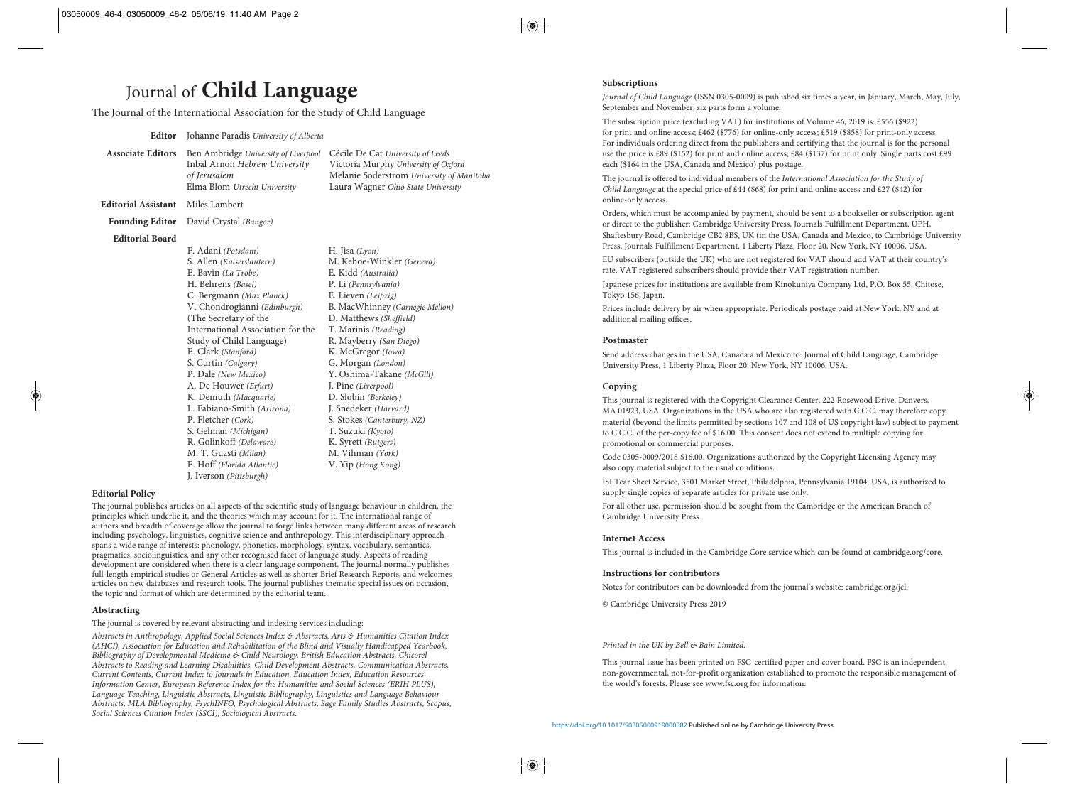## **Subscriptions**

*Journal of Child Language* (ISSN 0305-0009) is published six times a year, in January, March, May, July, September and November; six parts form a volume.

The subscription price (excluding VAT) for institutions of Volume 46, 2019 is: £556 (\$922) for print and online access; £462 (\$776) for online-only access; £519 (\$858) for print-only access. For individuals ordering direct from the publishers and certifying that the journal is for the personal use the price is £89 (\$152) for print and online access; £84 (\$137) for print only. Single parts cost £99 each (\$164 in the USA, Canada and Mexico) plus postage.

The journal is offered to individual members of the *International Association for the Study of Child Language* at the special price of £44 (\$68) for print and online access and £27 (\$42) for online-only access.

Orders, which must be accompanied by payment, should be sent to a bookseller or subscription agent or direct to the publisher: Cambridge University Press, Journals Fulfillment Department, UPH, Shaftesbury Road, Cambridge CB2 8BS, UK (in the USA, Canada and Mexico, to Cambridge University Press, Journals Fulfillment Department, 1 Liberty Plaza, Floor 20, New York, NY 10006, USA.

EU subscribers (outside the UK) who are not registered for VAT should add VAT at their country's rate. VAT registered subscribers should provide their VAT registration number.

Japanese prices for institutions are available from Kinokuniya Company Ltd, P.O. Box 55, Chitose, Tokyo 156, Japan.

Prices include delivery by air when appropriate. Periodicals postage paid at New York, NY and at additional mailing offices.

## **Postmaster**

Send address changes in the USA, Canada and Mexico to: Journal of Child Language, Cambridge University Press, 1 Liberty Plaza, Floor 20, New York, NY 10006, USA.

# **Copying**

This journal is registered with the Copyright Clearance Center, 222 Rosewood Drive, Danvers, MA 01923, USA. Organizations in the USA who are also registered with C.C.C. may therefore copy material (beyond the limits permitted by sections 107 and 108 of US copyright law) subject to payment to C.C.C. of the per-copy fee of \$16.00. This consent does not extend to multiple copying for promotional or commercial purposes.

Code 0305-0009/2018 \$16.00. Organizations authorized by the Copyright Licensing Agency may also copy material subject to the usual conditions.

ISI Tear Sheet Service, 3501 Market Street, Philadelphia, Pennsylvania 19104, USA, is authorized to supply single copies of separate articles for private use only.

For all other use, permission should be sought from the Cambridge or the American Branch of Cambridge University Press.

## **Internet Access**

This journal is included in the Cambridge Core service which can be found at cambridge.org/core.

# **Instructions for contributors**

Notes for contributors can be downloaded from the journal's website: cambridge.org/jcl.

© Cambridge University Press 2019

#### *Printed in the UK by Bell & Bain Limited.*

This journal issue has been printed on FSC-certified paper and cover board. FSC is an independent, non-governmental, not-for-profit organization established to promote the responsible management of the world's forests. Please see www.fsc.org for information.